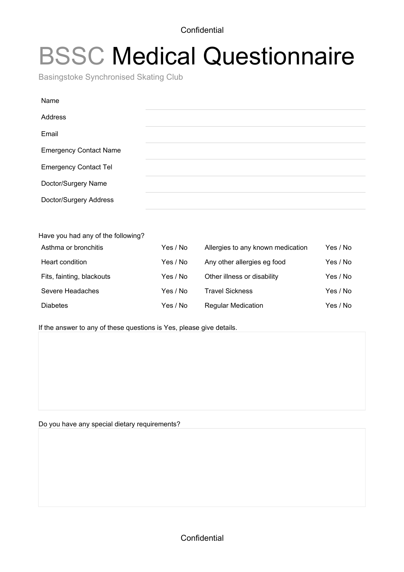**Confidential** 

## BSSC Medical Questionnaire

Basingstoke Synchronised Skating Club

| Name                          |  |  |
|-------------------------------|--|--|
| Address                       |  |  |
| Email                         |  |  |
| <b>Emergency Contact Name</b> |  |  |
| <b>Emergency Contact Tel</b>  |  |  |
| Doctor/Surgery Name           |  |  |
| Doctor/Surgery Address        |  |  |
|                               |  |  |

Have you had any of the following?

| Asthma or bronchitis      | Yes / No | Allergies to any known medication | Yes / No |
|---------------------------|----------|-----------------------------------|----------|
| Heart condition           | Yes / No | Any other allergies eg food       | Yes / No |
| Fits, fainting, blackouts | Yes / No | Other illness or disability       | Yes / No |
| Severe Headaches          | Yes / No | <b>Travel Sickness</b>            | Yes / No |
| <b>Diabetes</b>           | Yes / No | <b>Regular Medication</b>         | Yes / No |

If the answer to any of these questions is Yes, please give details.

Do you have any special dietary requirements?

**Confidential**